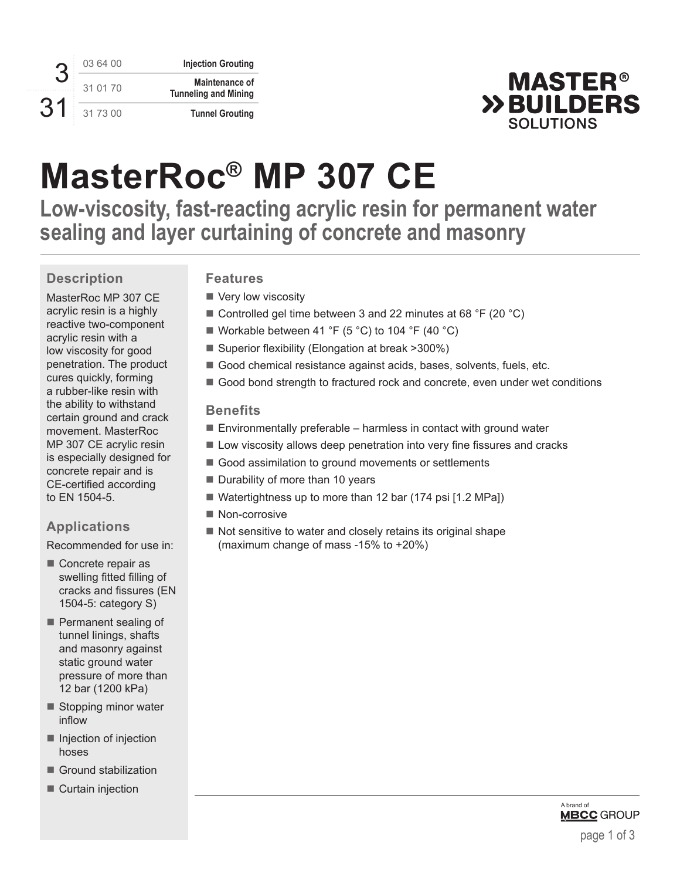3 31 03 64 00 **Injection Grouting** 31 01 70 **Maintenance of Tunneling and Mining** 31 73 00 **Tunnel Grouting**



# **MasterRoc® MP 307 CE**

**Low-viscosity, fast-reacting acrylic resin for permanent water sealing and layer curtaining of concrete and masonry**

### **Description**

MasterRoc MP 307 CE acrylic resin is a highly reactive two-component acrylic resin with a low viscosity for good penetration. The product cures quickly, forming a rubber-like resin with the ability to withstand certain ground and crack movement. MasterRoc MP 307 CE acrylic resin is especially designed for concrete repair and is CE-certified according to EN 1504-5.

### **Applications**

Recommended for use in:

- Concrete repair as swelling fitted filling of cracks and fissures (EN 1504-5: category S)
- Permanent sealing of tunnel linings, shafts and masonry against static ground water pressure of more than 12 bar (1200 kPa)
- Stopping minor water inflow
- $\blacksquare$  Injection of injection hoses
- Ground stabilization
- Curtain injection

### **Features**

- Very low viscosity
- Controlled gel time between 3 and 22 minutes at 68  $\degree$ F (20  $\degree$ C)
- Workable between 41 °F (5 °C) to 104 °F (40 °C)
- Superior flexibility (Elongation at break >300%)
- Good chemical resistance against acids, bases, solvents, fuels, etc.
- Good bond strength to fractured rock and concrete, even under wet conditions

### **Benefits**

- $\blacksquare$  Environmentally preferable harmless in contact with ground water
- **Low viscosity allows deep penetration into very fine fissures and cracks**
- Good assimilation to ground movements or settlements
- $\blacksquare$  Durability of more than 10 years
- Watertightness up to more than 12 bar (174 psi [1.2 MPa])
- Non-corrosive
- $\blacksquare$  Not sensitive to water and closely retains its original shape (maximum change of mass -15% to +20%)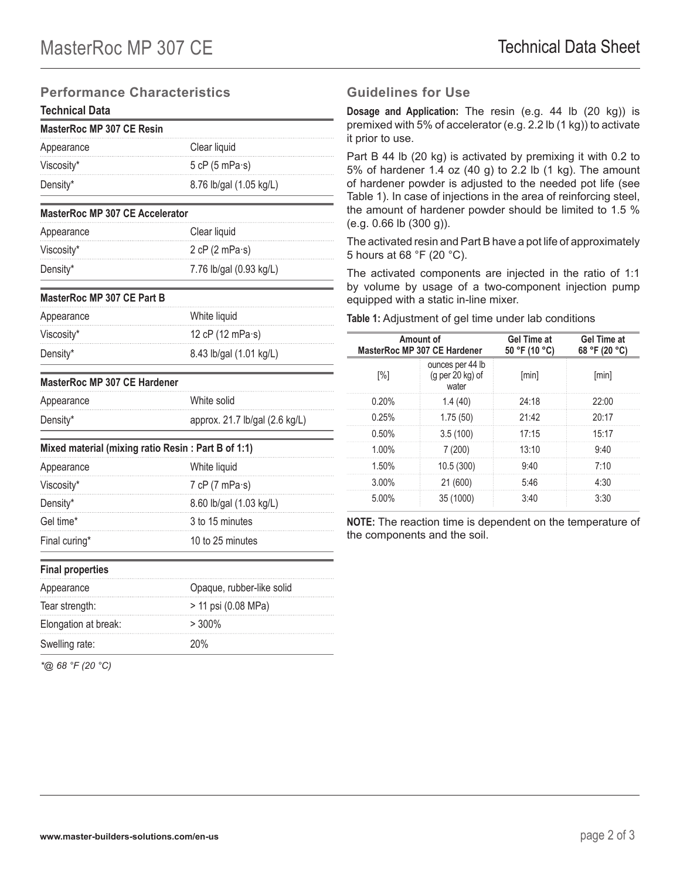### **Performance Characteristics**

### **Technical Data**

| MasterRoc MP 307 CE Resin |                          |
|---------------------------|--------------------------|
| Appearance                | Clear liquid             |
| Viscosity*                | 5 cP $(5 \text{ mPa·s})$ |
| Density*                  | 8.76 lb/gal (1.05 kg/L)  |

### **MasterRoc MP 307 CE Accelerator** Appearance Clear liquid Viscosity\* 2 cP (2 mPa·s) Density\* 7.76 lb/gal (0.93 kg/L)

#### **MasterRoc MP 307 CE Part B**

| Appearance | White liquid               |
|------------|----------------------------|
| Viscosity* | 12 cP $(12 \text{ mPa·s})$ |
| Density*   | 8.43 lb/gal (1.01 kg/L)    |

### **MasterRoc MP 307 CE Hardener**

| Appearance | White solid                    |
|------------|--------------------------------|
| Density*   | approx. 21.7 lb/gal (2.6 kg/L) |

### **Mixed material (mixing ratio Resin : Part B of 1:1)**

| Appearance    | White liquid             |
|---------------|--------------------------|
| Viscosity*    | 7 cP $(7 \text{ mPa·s})$ |
| Density*      | 8.60 lb/gal (1.03 kg/L)  |
| Gel time*     | 3 to 15 minutes          |
| Final curing* | 10 to 25 minutes         |
|               |                          |

| <b>Final properties</b> |                           |  |
|-------------------------|---------------------------|--|
| Appearance              | Opaque, rubber-like solid |  |
| Tear strength:          | > 11 psi (0.08 MPa)       |  |
| Elongation at break:    | $> 300\%$                 |  |
| Swelling rate:          | 20%                       |  |

*\*@ 68 °F (20 °C)*

### **Guidelines for Use**

**Dosage and Application:** The resin (e.g. 44 lb (20 kg)) is premixed with 5% of accelerator (e.g. 2.2 lb (1 kg)) to activate it prior to use.

Part B 44 lb (20 kg) is activated by premixing it with 0.2 to 5% of hardener 1.4 oz (40 g) to 2.2 lb (1 kg). The amount of hardener powder is adjusted to the needed pot life (see Table 1). In case of injections in the area of reinforcing steel, the amount of hardener powder should be limited to 1.5 % (e.g. 0.66 lb (300 g)).

The activated resin and Part B have a pot life of approximately 5 hours at 68 °F (20 °C).

The activated components are injected in the ratio of 1:1 by volume by usage of a two-component injection pump equipped with a static in-line mixer.

**Table 1:** Adjustment of gel time under lab conditions

|          | Amount of<br>MasterRoc MP 307 CE Hardener       | <b>Gel Time at</b><br>50 °F (10 °C) | <b>Gel Time at</b><br>68 °F (20 °C) |
|----------|-------------------------------------------------|-------------------------------------|-------------------------------------|
| [%]      | ounces per 44 lb<br>$(g per 20 kg)$ of<br>water | [min]                               | [min]                               |
| 0.20%    | 1.4(40)                                         | 24:18                               | 22:00                               |
| 0.25%    | 1.75(50)                                        | 21:42                               | 20:17                               |
| 0.50%    | 3.5(100)                                        | 17:15                               | 15:17                               |
| $1.00\%$ | 7(200)                                          | 13:10                               | 9:40                                |
| 1.50%    | 10.5(300)                                       | 9:40                                | 7:10                                |
| $3.00\%$ | 21 (600)                                        | 5:46                                | 4:30                                |
| 5.00%    | 35 (1000)                                       | 3:40                                | 3:30                                |

**NOTE:** The reaction time is dependent on the temperature of the components and the soil.